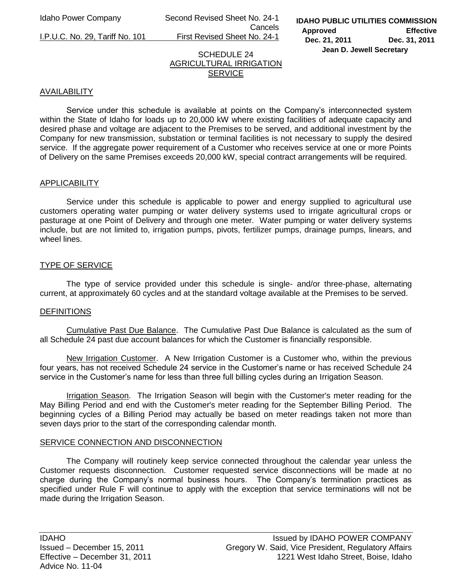Idaho Power Company Second Revised Sheet No. 24-1 Cancels

I.P.U.C. No. 29, Tariff No. 101 First Revised Sheet No. 24-1

#### SCHEDULE 24 AGRICULTURAL IRRIGATION **SERVICE**

## AVAILABILITY

Service under this schedule is available at points on the Company's interconnected system within the State of Idaho for loads up to 20,000 kW where existing facilities of adequate capacity and desired phase and voltage are adjacent to the Premises to be served, and additional investment by the Company for new transmission, substation or terminal facilities is not necessary to supply the desired service. If the aggregate power requirement of a Customer who receives service at one or more Points of Delivery on the same Premises exceeds 20,000 kW, special contract arrangements will be required.

#### APPLICABILITY

 Service under this schedule is applicable to power and energy supplied to agricultural use customers operating water pumping or water delivery systems used to irrigate agricultural crops or pasturage at one Point of Delivery and through one meter. Water pumping or water delivery systems include, but are not limited to, irrigation pumps, pivots, fertilizer pumps, drainage pumps, linears, and wheel lines.

## TYPE OF SERVICE

 The type of service provided under this schedule is single- and/or three-phase, alternating current, at approximately 60 cycles and at the standard voltage available at the Premises to be served.

#### **DEFINITIONS**

Cumulative Past Due Balance. The Cumulative Past Due Balance is calculated as the sum of all Schedule 24 past due account balances for which the Customer is financially responsible.

New Irrigation Customer. A New Irrigation Customer is a Customer who, within the previous four years, has not received Schedule 24 service in the Customer's name or has received Schedule 24 service in the Customer's name for less than three full billing cycles during an Irrigation Season.

Irrigation Season. The Irrigation Season will begin with the Customer's meter reading for the May Billing Period and end with the Customer's meter reading for the September Billing Period. The beginning cycles of a Billing Period may actually be based on meter readings taken not more than seven days prior to the start of the corresponding calendar month.

#### SERVICE CONNECTION AND DISCONNECTION

 The Company will routinely keep service connected throughout the calendar year unless the Customer requests disconnection. Customer requested service disconnections will be made at no charge during the Company's normal business hours. The Company's termination practices as specified under Rule F will continue to apply with the exception that service terminations will not be made during the Irrigation Season.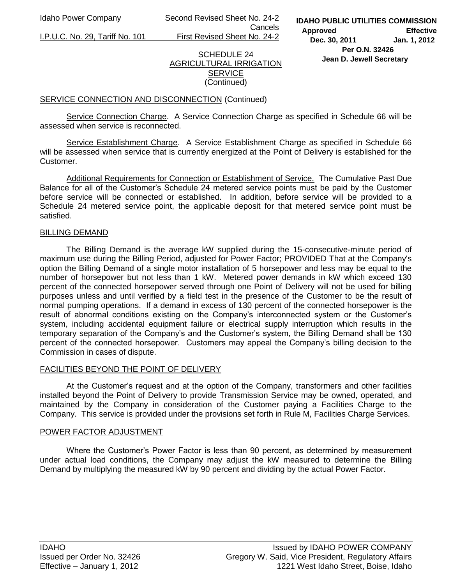Idaho Power Company Second Revised Sheet No. 24-2 Cancels

I.P.U.C. No. 29, Tariff No. 101 First Revised Sheet No. 24-2

**IDAHO PUBLIC UTILITIES COMMISSION Approved Effective Dec. 30, 2011 Jan. 1, 2012 Per O.N. 32426** 

# **Jean D. Jewell Secretary**

#### SCHEDULE 24 AGRICULTURAL IRRIGATION **SERVICE** (Continued)

# SERVICE CONNECTION AND DISCONNECTION (Continued)

Service Connection Charge. A Service Connection Charge as specified in Schedule 66 will be assessed when service is reconnected.

 Service Establishment Charge. A Service Establishment Charge as specified in Schedule 66 will be assessed when service that is currently energized at the Point of Delivery is established for the Customer.

Additional Requirements for Connection or Establishment of Service. The Cumulative Past Due Balance for all of the Customer's Schedule 24 metered service points must be paid by the Customer before service will be connected or established. In addition, before service will be provided to a Schedule 24 metered service point, the applicable deposit for that metered service point must be satisfied.

#### BILLING DEMAND

 The Billing Demand is the average kW supplied during the 15-consecutive-minute period of maximum use during the Billing Period, adjusted for Power Factor; PROVIDED That at the Company's option the Billing Demand of a single motor installation of 5 horsepower and less may be equal to the number of horsepower but not less than 1 kW. Metered power demands in kW which exceed 130 percent of the connected horsepower served through one Point of Delivery will not be used for billing purposes unless and until verified by a field test in the presence of the Customer to be the result of normal pumping operations. If a demand in excess of 130 percent of the connected horsepower is the result of abnormal conditions existing on the Company's interconnected system or the Customer's system, including accidental equipment failure or electrical supply interruption which results in the temporary separation of the Company's and the Customer's system, the Billing Demand shall be 130 percent of the connected horsepower. Customers may appeal the Company's billing decision to the Commission in cases of dispute.

# FACILITIES BEYOND THE POINT OF DELIVERY

 At the Customer's request and at the option of the Company, transformers and other facilities installed beyond the Point of Delivery to provide Transmission Service may be owned, operated, and maintained by the Company in consideration of the Customer paying a Facilities Charge to the Company. This service is provided under the provisions set forth in Rule M, Facilities Charge Services.

#### POWER FACTOR ADJUSTMENT

Where the Customer's Power Factor is less than 90 percent, as determined by measurement under actual load conditions, the Company may adjust the kW measured to determine the Billing Demand by multiplying the measured kW by 90 percent and dividing by the actual Power Factor.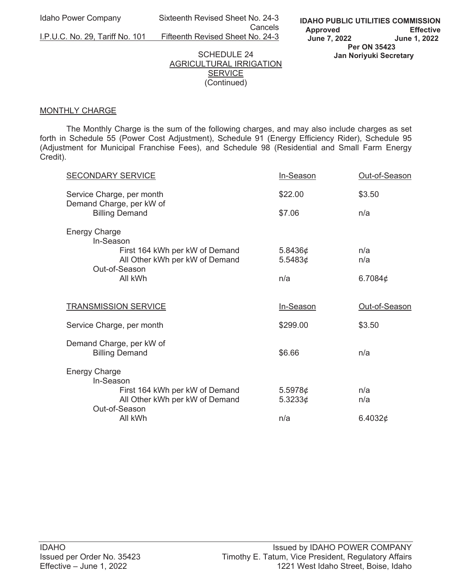Idaho Power Company Sixteenth Revised Sheet No. 24-3 **Cancels Cancels** 

I.P.U.C. No. 29, Tariff No. 101 Fifteenth Revised Sheet No. 24-3

#### SCHEDULE 24 AGRICULTURAL IRRIGATION **SERVICE** (Continued)

#### MONTHLY CHARGE

 The Monthly Charge is the sum of the following charges, and may also include charges as set forth in Schedule 55 (Power Cost Adjustment), Schedule 91 (Energy Efficiency Rider), Schedule 95 (Adjustment for Municipal Franchise Fees), and Schedule 98 (Residential and Small Farm Energy Credit).

| <b>SECONDARY SERVICE</b>                                                                       | In-Season          | Out-of-Season |
|------------------------------------------------------------------------------------------------|--------------------|---------------|
| Service Charge, per month<br>Demand Charge, per kW of                                          | \$22.00            | \$3.50        |
| <b>Billing Demand</b>                                                                          | \$7.06             | n/a           |
| <b>Energy Charge</b><br>In-Season                                                              |                    |               |
| First 164 kWh per kW of Demand<br>All Other kWh per kW of Demand                               | 5.8436¢<br>5.5483¢ | n/a<br>n/a    |
| Out-of-Season<br>All kWh                                                                       | n/a                | 6.7084 $\phi$ |
| <b>TRANSMISSION SERVICE</b>                                                                    | In-Season          | Out-of-Season |
|                                                                                                |                    |               |
| Service Charge, per month                                                                      | \$299.00           | \$3.50        |
| Demand Charge, per kW of<br><b>Billing Demand</b>                                              | \$6.66             | n/a           |
| <b>Energy Charge</b>                                                                           |                    |               |
| In-Season<br>First 164 kWh per kW of Demand<br>All Other kWh per kW of Demand<br>Out-of-Season | 5.5978¢<br>5.3233¢ | n/a<br>n/a    |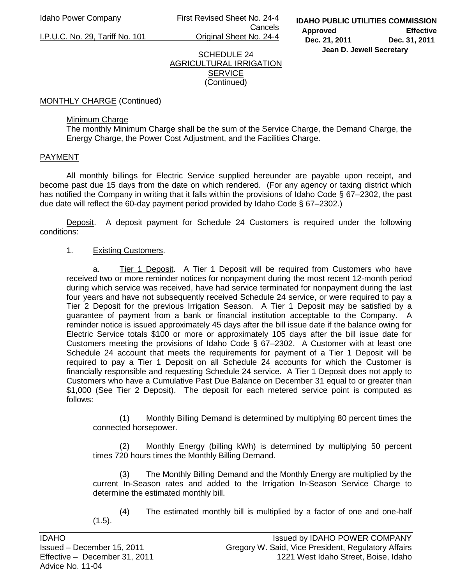Idaho Power Company First Revised Sheet No. 24-4 **Cancels** I.P.U.C. No. 29, Tariff No. 101 Original Sheet No. 24-4

#### SCHEDULE 24 AGRICULTURAL IRRIGATION **SERVICE** (Continued)

MONTHLY CHARGE (Continued)

## Minimum Charge

 The monthly Minimum Charge shall be the sum of the Service Charge, the Demand Charge, the Energy Charge, the Power Cost Adjustment, and the Facilities Charge.

## PAYMENT

 All monthly billings for Electric Service supplied hereunder are payable upon receipt, and become past due 15 days from the date on which rendered. (For any agency or taxing district which has notified the Company in writing that it falls within the provisions of Idaho Code § 67–2302, the past due date will reflect the 60-day payment period provided by Idaho Code § 67–2302.)

**Deposit.** A deposit payment for Schedule 24 Customers is required under the following conditions:

# 1. Existing Customers.

 a. Tier 1 Deposit. A Tier 1 Deposit will be required from Customers who have received two or more reminder notices for nonpayment during the most recent 12-month period during which service was received, have had service terminated for nonpayment during the last four years and have not subsequently received Schedule 24 service, or were required to pay a Tier 2 Deposit for the previous Irrigation Season. A Tier 1 Deposit may be satisfied by a guarantee of payment from a bank or financial institution acceptable to the Company. A reminder notice is issued approximately 45 days after the bill issue date if the balance owing for Electric Service totals \$100 or more or approximately 105 days after the bill issue date for Customers meeting the provisions of Idaho Code § 67–2302. A Customer with at least one Schedule 24 account that meets the requirements for payment of a Tier 1 Deposit will be required to pay a Tier 1 Deposit on all Schedule 24 accounts for which the Customer is financially responsible and requesting Schedule 24 service. A Tier 1 Deposit does not apply to Customers who have a Cumulative Past Due Balance on December 31 equal to or greater than \$1,000 (See Tier 2 Deposit). The deposit for each metered service point is computed as follows:

 (1) Monthly Billing Demand is determined by multiplying 80 percent times the connected horsepower.

 (2) Monthly Energy (billing kWh) is determined by multiplying 50 percent times 720 hours times the Monthly Billing Demand.

 (3) The Monthly Billing Demand and the Monthly Energy are multiplied by the current In-Season rates and added to the Irrigation In-Season Service Charge to determine the estimated monthly bill.

 (4) The estimated monthly bill is multiplied by a factor of one and one-half  $(1.5)$ .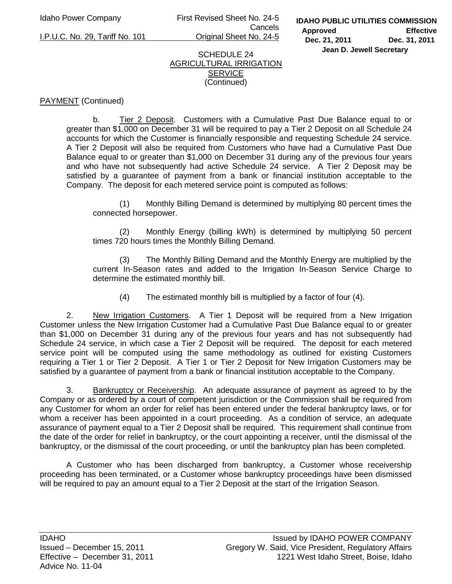Idaho Power Company First Revised Sheet No. 24-5 Cancels I.P.U.C. No. 29, Tariff No. 101 Original Sheet No. 24-5

#### SCHEDULE 24 AGRICULTURAL IRRIGATION **SERVICE** (Continued)

# PAYMENT (Continued)

 b. Tier 2 Deposit. Customers with a Cumulative Past Due Balance equal to or greater than \$1,000 on December 31 will be required to pay a Tier 2 Deposit on all Schedule 24 accounts for which the Customer is financially responsible and requesting Schedule 24 service. A Tier 2 Deposit will also be required from Customers who have had a Cumulative Past Due Balance equal to or greater than \$1,000 on December 31 during any of the previous four years and who have not subsequently had active Schedule 24 service. A Tier 2 Deposit may be satisfied by a guarantee of payment from a bank or financial institution acceptable to the Company. The deposit for each metered service point is computed as follows:

 (1) Monthly Billing Demand is determined by multiplying 80 percent times the connected horsepower.

 (2) Monthly Energy (billing kWh) is determined by multiplying 50 percent times 720 hours times the Monthly Billing Demand.

 (3) The Monthly Billing Demand and the Monthly Energy are multiplied by the current In-Season rates and added to the Irrigation In-Season Service Charge to determine the estimated monthly bill.

(4) The estimated monthly bill is multiplied by a factor of four (4).

2. New Irrigation Customers. A Tier 1 Deposit will be required from a New Irrigation Customer unless the New Irrigation Customer had a Cumulative Past Due Balance equal to or greater than \$1,000 on December 31 during any of the previous four years and has not subsequently had Schedule 24 service, in which case a Tier 2 Deposit will be required. The deposit for each metered service point will be computed using the same methodology as outlined for existing Customers requiring a Tier 1 or Tier 2 Deposit. A Tier 1 or Tier 2 Deposit for New Irrigation Customers may be satisfied by a guarantee of payment from a bank or financial institution acceptable to the Company.

3. Bankruptcy or Receivership. An adequate assurance of payment as agreed to by the Company or as ordered by a court of competent jurisdiction or the Commission shall be required from any Customer for whom an order for relief has been entered under the federal bankruptcy laws, or for whom a receiver has been appointed in a court proceeding. As a condition of service, an adequate assurance of payment equal to a Tier 2 Deposit shall be required. This requirement shall continue from the date of the order for relief in bankruptcy, or the court appointing a receiver, until the dismissal of the bankruptcy, or the dismissal of the court proceeding, or until the bankruptcy plan has been completed.

 A Customer who has been discharged from bankruptcy, a Customer whose receivership proceeding has been terminated, or a Customer whose bankruptcy proceedings have been dismissed will be required to pay an amount equal to a Tier 2 Deposit at the start of the Irrigation Season.